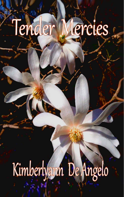# Kimberlyann De Angelo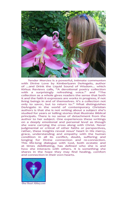

Tender Mercies is a powerful, intimate communion with Divine Love by Kimberlyann DeAngelo, author of ...and Drink the Liquid Sound of Wisdom... which Kirkus Reviews calls, "A devotional poetry collection with a surprisingly refreshing voice." and "The collection as a whole gives readers the sense that both it and the faith it expresses are works in progress, if not living beings in and of themselves. It's a collection not only to savor, but to return to." What distinguishes DeAngelo in the world of contemporary Christian authors is that she is not writing about a subject she's studied for years or telling stories that illustrate Biblical principals. There is no sense of detachment from the author to her subject. One experiences these writings on a deeply emotional and personal level as though she were carrying the cross along with Christ. Never judgmental or critical of other faiths or perspectives, rather, these insights reveal Jesus' heart in His mercy, grace, understanding and empathy with the human condition in all its conflict, doubt, suffering and longing for Divine connection and re-connection. This life-long dialogue with God, both ecstatic and at times debilitating, has defined who she is and how she interacts with others. It is something she shares in the hope they may find healing, comfort and connection in their own hearts.



**One Heart Abbey.com**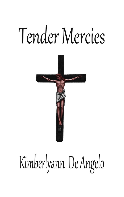

## Kimberlyann De Angelo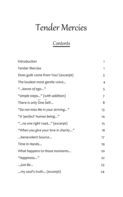## Contents

| Introduction                         | I            |
|--------------------------------------|--------------|
| <b>Tender Mercies</b>                | $\mathbf{1}$ |
| Does guilt come from You? (excerpt)  | 3            |
| The loudest most gentle voice        | 4            |
| " leaves of ego"                     | 5            |
| "simple steps" (with addition)       | 7            |
| There is only One Self               | 8            |
| "Do not miss Me in your striving"    | 13           |
| "A 'perfect' human being"            | 14           |
| "no one right road" (excerpt)        | 15           |
| "When you give your love in charity" | 16           |
| benevolent Source                    | 17           |
| Time in Hands                        | 19           |
| What happens to those moments        | 20           |
| "Happiness"                          | 22           |
| just Be                              | 23           |
| my soul's truth (excerpt)            | 24           |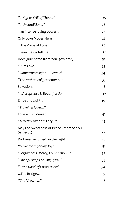| "Higher Will of Thou"                               | 25 |
|-----------------------------------------------------|----|
| "Uncondition"                                       | 26 |
| an intense loving power                             | 27 |
| Only Love Moves Here                                | 28 |
| The Voice of Love                                   | 30 |
| I heard Jesus tell me                               | 31 |
| Does guilt come from You? (excerpt)                 | 32 |
| "Pure Love"                                         | 33 |
| "one true religion - love"                          | 34 |
| "The path to enlightenment"                         | 35 |
| Salvation                                           | 38 |
| "Acceptance is Beautification"                      | 39 |
| Empathic Light                                      | 40 |
| "Traveling lover"                                   | 41 |
| Love within denied                                  | 42 |
| "A thirsty river runs dry"                          | 43 |
| May the Sweetness of Peace Embrace You<br>(excerpt) | 45 |
| Darkness switched on the Light                      | 48 |
| "Make room for My Joy"                              | 51 |
| "Forgiveness, Mercy, Compassion"                    | 52 |
| "Loving, Deep-Looking Eyes"                         | 53 |
| "the Hand of Completion"                            | 54 |
| The Bridge                                          | 55 |
| "The 'Crown'"                                       | 56 |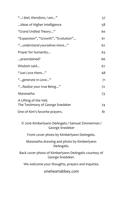| "I feel, therefore, I am"                                  | 57 |
|------------------------------------------------------------|----|
| ideas of Higher intelligence                               | 58 |
| "Grand Unified Theory"                                     | 60 |
| "Expansion", "Growth", "Evolution"                         | 61 |
| "understand yourselves more"                               | 62 |
| Prayer for humanity                                        | 63 |
| preordained?                                               | 66 |
| Wisdom said                                                | 67 |
| "Just Love them"                                           | 68 |
| "generate in Love"                                         | 71 |
| "Realize your true Being"                                  | 72 |
| Maranatha                                                  | 73 |
| A Lifting of the Veil;<br>The Testimony of George Snedeker | 74 |
| One of Kim's favorite prayers.                             | 81 |
|                                                            |    |

© 2016 Kimberlyann DeAngelo / Samuel Zimmerman / George Snedeker

Front cover photo by Kimberlyann DeAngelo.

Maranatha drawing and photo by Kimberlyann DeAngelo.

Back cover photo of Kimberlyann DeAngelo courtesy of George Snedeker.

We welcome your thoughts, prayers and inquiries.

oneheartabbey.com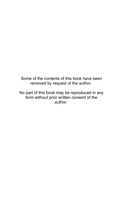Some of the contents of this book have been removed by request of the author.

No part of this book may be reproduced in any form without prior written consent of the author.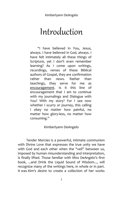## Introduction

"I have believed in You, Jesus, always. I have believed in God, always. I have felt intimately all these things of Scripture, yet I don't even remember learning? As I come upon writings, recordings, verses of these Biblical authors of Gospel, they are confirmation rather than news. Rather than teachings, they serve for me as encouragement. Is it this line of encouragement that I am to continue with my journalings and Dialogue with You? With my story? For I see now whether I scurry or journey, this calling I obey no matter how painful, no matter how glory-less, no matter how consuming."

## Kimberlyann DeAngelo

 Tender Mercies is a powerful, intimate communion with Divine Love that expresses the true unity we have with God and each other when the "veil" between us, imposed by human misunderstanding and interpretation, is finally lifted. Those familiar with Miss DeAngelo's first book, ...and Drink the Liquid Sound of Wisdom..., will recognize many of the writings here, in whole or in part. It was Kim's desire to create a collection of her works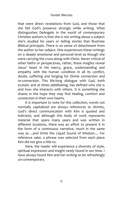that were direct revelations from God, and those that she felt God's presence strongly while writing. What distinguishes DeAngelo in the world of contemporary Christian authors is that she is not writing about a subject she's studied for years or telling stories that illustrate Biblical principals. There is no sense of detachment from the author to her subject. One experiences these writings on a deeply emotional and personal level as though she were carrying the cross along with Christ. Never critical of other faiths or perspectives, rather, these insights reveal Jesus' heart in His mercy, grace, understanding and empathy with the human condition in all its conflict, doubt, suffering and longing for Divine connection and re-connection. This life-long dialogue with God, both ecstatic and at times debilitating, has defined who she is and how she interacts with others. It is something she shares in the hope they may find healing, comfort and connection in their own hearts.

It is important to note for this collection, words not normally capitalized are always references to divinity, God's direct communication with Kim is quoted and italicized, and although this body of work represents material that spans many years and was written in different locations, there was an effort to present it in the form of a continuous narrative, much in the same way as ...and Drink the Liquid Sound of Wisdom.... For reference sake, a phrase was selected from each piece Kim did not give a title to.

Here, the reader will experience a diversity of style, spiritual expression and insight rarely found in our time. I have always found Kim and her writing to be refreshingly un-contemporary.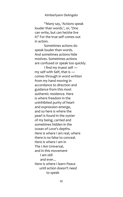"Many say, 'Actions speak louder than words.', or, 'One can write, but can he/she live it?' For the true self comes out in action.

 Sometimes actions do speak louder than words. And sometimes actions hide motives. Sometimes actions are confused or speak too quickly.

 I find my truest self ― my self with Self, that is ― comes through in word written from my hand moving in accordance to direction and guidance from this most authentic residence. Here is where freedom in the uninhibited purity of heart and expression emerge, and so here is where the pearl is found in the oyster of my being, carried and sometimes hidden in the ocean of Love's depths. Here is where I am real, where there is no false to conceal. Here is where I am in The I Am Universal, and in this movement I am still and ever... Here is where I learn Peace until action doesn't need to speak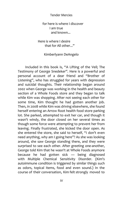for here is where I discover I am true and known...

 Here is where I desire that for All other..."

## Kimberlyann DeAngelo

Included in this book is, "A Lifting of the Veil; The Testimony of George Snedeker". Here is a powerful and personal account of a dear friend and "Brother of Listening", who has struggled for years with depression and suicidal thoughts. Their relationship began around 2002 when George was working in the health and beauty section of a Whole Foods store and they began to talk while Kim was shopping. After not seeing each other for some time, Kim thought he had gotten another job. Then, in 2008 while Kim was driving elsewhere, she found herself entering an Arrow Root health food store parking lot. She parked, attempted to exit her car, and though it wasn't windy, the door closed on her several times as though some force were attempting to prevent her from leaving. Finally frustrated, she kicked the door open. As she entered the store, she said to herself, "I don't even need anything, why am I going here"? As she was looking around, she saw George standing there, and they were surprised to see each other. After greeting one-another, George told Kim that he wasn't at Whole Foods anymore because he had gotten sick ― being diagnosed with Multiple Chemical Sensitivity Disorder. (Kim's autoimmune condition is triggered by similar things such as odors, topical items, food and even sound.) In the course of their conversation, Kim felt strongly moved to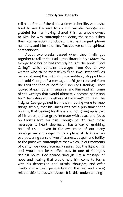tell him of one of the darkest times in her life, when she tried to use Demerol to commit suicide. George was grateful for her having shared this, as unbeknownst to Kim, he was contemplating doing the same. When their conversation concluded, they exchanged phone numbers, and Kim told him, "maybe we can be spiritual companions".

About two weeks passed when they finally got together to talk at the Ludington library in Bryn Mawr PA. George told her he had recently bought the book, "God Calling", which contains messages from God to two women who called themselves "The Two Listeners". As he was sharing this with Kim, she suddenly stopped him and told George of a message she'd just received from the Lord she then called "The Sisters of Listening". They looked at each other in surprise, and Kim read him some of the writings that would ultimately become her vision for "The Sisters and Brothers of Listening". Some of the insights George gained from their meeting were to keep things simple, that his illness was not a punishment for his sins, that bearing his illness and not giving up is part of his cross, and to grow intimate with Jesus and focus on Christ's love for him. Though he *did* take these messages to heart, depression has a way of grabbing hold of us ― even in the awareness of our many blessings ― and drags us to a place of darkness; an overpowering sense of worthlessness, despair and futility to the point we contemplate that which, in our moments of clarity, we would eternally regret. But the light of his soul would not be snuffed out. In one of George's darkest hours, God shared through Kim a message of hope and healing that would help him come to terms with his depression and suicidal thoughts, and offer clarity and a fresh perspective on the real and loving relationship he has with Jesus. It is this understanding I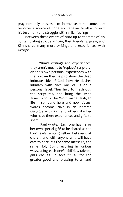pray not only blesses him in the years to come, but becomes a source of hope and renewal to all who read his testimony and struggle with similar feelings.

Between these events of 2008 up to the time of his contemplating suicide in 2010, their friendship grew, and Kim shared many more writings and experiences with George.

> "Kim's writings and experiences, they aren't meant to 'replace' scripture, or one's own personal experiences with the Lord ― they help to show the deep intimate side of God, how He desires intimacy with each one of us on a personal level. They help to 'flesh out' the scriptures, and bring the living Jesus, who is The Word made flesh, to life in someone here and now. Jesus' words become alive in an intimate dialogue with Kim and others like her who have there experiences and gifts to share.

> Paul wrote, 'Each one has his or her own special gift' to be shared as the Lord leads, among fellow believers, at church, and with anyone who will have ears to hear. It's the same message, the same Holy Spirit, evoking in various ways, using each one's abilities, talents, gifts etc. as He sees fit, all for the greater good and blessing to all and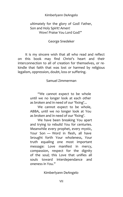## ultimately for the glory of God! Father, Son and Holy Spirit! Amen! Wow! Praise You Lord God!"

## George Snedeker

It is my sincere wish that all who read and reflect on this book may find Christ's heart and their interconnection to all of creation for themselves, or rekindle that faith that was lost or harmed by religious legalism, oppression, doubt, loss or suffering.

## Samuel Zimmerman

"We cannot expect to be whole until we no longer look at each other as broken and in need of our 'fixing'...

We cannot expect to be whole, ABBA, until we no longer look at You as broken and in need of our 'fixing'.

We have been breaking You apart and trying to rebuild You for centuries. Meanwhile every prophet, every mystic, Your Son — Word in flesh, all have brought forth Your wholeness, Your truth equaling one most important message: Love manifest in mercy, compassion, respect for the dignity of the soul; this Love that unifies all souls toward interdependance and oneness in You."

Kimberlyann DeAngelo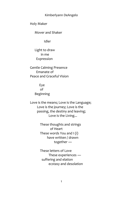Holy Maker

Mover and Shaker

Idler

 Light to draw in me Expression

 Gentle Calming Presence Emanate of Peace and Graceful Vision

> Eye of Beginning

 Love is the means; Love is the Language; Love is the journey; Love is the passing, the destiny and leaving; Love is the Living...

> These thoughts and strings of Heart These words You and I (i) have written / drawn together ―

 These letters of Love These experiences ― suffering and elation ecstasy and desolation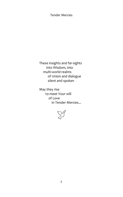These insights and far-sights into Wisdom, into multi-world realms of Union and dialogue silent and spoken

 May they rise to meet Your will of Love in Tender Mercies...

 $\Sigma^3$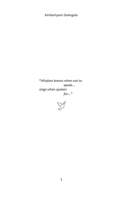*"Wisdom knows when not to speak... sings when spoken for..."*

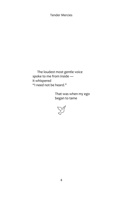The loudest most gentle voice spoke to me from inside ― it whispered "I need not be heard."

> That was when my ego began to tame

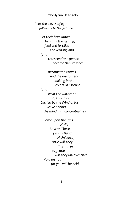*"Let the leaves of ego fall away to the ground*

> *Let their breakdown beautify the visiting, feed and fertilize the waiting land (and) transcend the person become the Presence*

 *Become the canvas and the instrument soaking in the colors of Essence (and) wear the wardrobe of His Grace Carried by the Wind of His leave behind the mind that conceptualizes* 

 *Come upon the Eyes of His Be with These (in Thy Hand of Universe) Gentle will They finish thee as gentle will They uncover thee Hold on not for you will be held*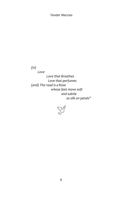*(in)*

 *Love Love that Breathes Love that perfumes (and) The road is a Rose whose feet move soft and subtle as silk on petals"* 

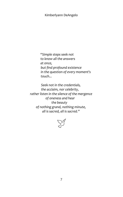*"Simple steps seek not to know all the answers at once, but find profound existence in the question of every moment's touch...*

 *Seek not in the credentials, the acclaim, nor celebrity, rather listen in the silence of the mergence of oneness and hear the beauty of nothing grand, nothing minute, all is sacred, all is sacred."*

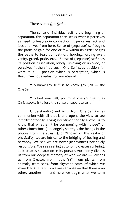There is only One Self...

The sense of individual self is the beginning of separation, this separation then seeks what it perceives as need to heal/rejoin connection. It perceives lack and loss and lives from here. Sense of (separate) self begins the paths of gain for one or few within its circle; begins the paths to fear, competition, hording, lording over, vanity, greed, pride, etc.... Sense of (separate) self sees its position as isolation, lonely, unloving or unloved, or perceives "others" as such. One Self sees position for what it is — position which is perception, which is fleeting ― not everlasting, nor eternal.

"To know thy self" is to know Thy Self ― the One Self.

"To find your Self, you must lose your self", as Christ spoke is to lose the sense of separate self.

Understanding and living from One Self invites communion with all that is and opens the view to see interdimentonally. Living interdimentionally allows us to know that whether it be communing with "those" of other dimensions (i. e. angels, spirits, **1.** the beings in the photos from the stream), or "those" of this realm of physicality, we are intrical to the bridging of healing and harmony. We see we are never just witness nor solely responsible. We see seeking autonomy creates suffering, as it creates separation in its pursuit. Autonomy divides us from our deepest memory of who we are ― divides us from Creator, from "other(s)", from plants, from animals, from seas, from skyscape stars of which we share D N A; it tells us we are separate — that there is an other, another ― and here we begin what we term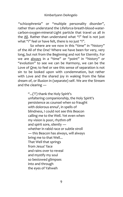"schizophrenia" or "multiple personality disorder", rather than understand the Lifeforce-breath-blood-watercarbon-oxygen-mineral-Light particle that travel us all in the All. Rather than understand what "i" feel is not just what "i" feel or have felt, there is no just "i".

So where are we now in this "time" in "history" of the All of the One? Where we have been for very, very long, but not from the Beginning and not for Eternity. For we are always in a "time" or "point" in "history" or "evolution" to see we can be Harmony, we can be the Love of One; to feel or see this sense of separation is not sin to be looked upon with condemnation, but rather with Love and the shared joy in waking from the false dream of, or illusion in (separate) self. We are the Stream and the clearing ―

> "...('i') thank the Holy Spirit's unfaltering companionship, the Holy Spirit's persistence as counsel when so fraught with dolorous ennui', in spells of blindness, I could not see this Beacon calling me to the Well. Yet even when my vision is poor, rhythm off and spirit sore, silently ― whether in rabid race or subtle stroll ― this Beacon has always, will always bring me to that Well... That Well that springs from Jesus' face and rains over to reveal and mystify my soul so bestowed glimpses into and through the eyes of Yahweh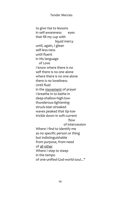to give rise to lessons in self-awareness eyes that fill my cup with liquid mercy until, again, I glean self-less-ness until fluent in His language of Love I know where there is no self there is no one alone where there is no one alone there is no loneliness Until fluid in the movement of prayer I breathe in to bathe in deep-shallow-high-low thunderous-lightening struck-tear-streaked waves peaked that tip-toe trickle down in soft-current **flow** flow of intercession Where I find to identify me as no specific person or thing but indistinguishable from purpose, from need of all other Where I step to steep in the tempo of one-unified-God-world-soul..."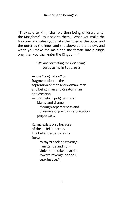"They said to Him, 'shall we then being children, enter the Kingdom?' Jesus said to them , 'When you make the two one, and when you make the inner as the outer and the outer as the inner and the above as the below, and when you make the male and the female into a single one, then you shall enter the Kingdom.'"

> *"We are correcting the Beginning"* Jesus to me in Sept. 2012

 ― the "original sin" of fragmentation ― the separation of man and woman, man and being, man and Creator, man and creation ― from which judgment and blame and shame through separateness and division along with interpretation perpetuate.

 Karma exists only because of the belief in Karma. The belief perpetuates its force ―

> to say "I seek no revenge, I am gentle and non violent and take no action toward revenge nor do I seek justice.",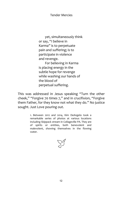yet, simultaneously think or say, "I believe in Karma" is to perpetuate pain and suffering; is to participate in violence and revenge. For believing in Karma is placing energy in the

 subtle hope for revenge while washing our hands of the blood of perpetual suffering.

This was addressed in Jesus speaking "Turn the other cheek," "Forgive 70 times 7," and in crucifixion, "Forgive them Father, for they know not what they do." No justice sought. Just Love pouring out.

> 1. Between 2012 and 2014, Kim DeAngelo took a remarkable series of photos at various locations including Skippack stream in Collageville PA. They are of spirits or entities, both benevolent and malevolent, showing themselves in the flowing water.

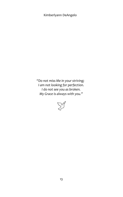*"Do not miss Me in your striving; I am not looking for perfection. I do not see you as broken. My Grace is always with you."*

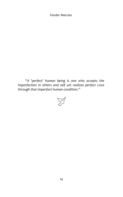*"A 'perfect' human being is one who accepts the imperfection in others and self yet realizes perfect Love through that imperfect human condition."*

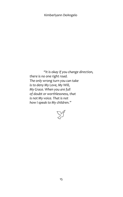*"It is okay if you change direction, there is no one right road. The only wrong turn you can take is to deny My Love, My Will, My Grace. When you are full of doubt or worthlessness, that is not My voice. That is not how I speak to My children."*

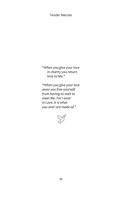*"When you give your love in charity you return love to Me."*

 *"When you give your love away you free yourself from having to wait to meet Me. For I exist in Love. It is what you and I are made of."*

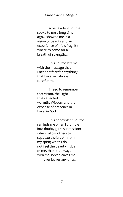A benevolent Source spoke to me a long time ago... showed me in a vision of beauty and an experience of life's fragility where to come for a breath of strength...

 This Source left me with the message that I needn't fear for anything; that Love will always care for me.

 I need to remember that vision, the Light that reflected warmth, Wisdom and the expanse of presence in Love, in God.

 This benevolent Source reminds me when I crumble into doubt, guilt, submission; when I allow others to squeeze the breath from my spirit; when I do not feel the beauty inside of me, that It is always with me, never leaves me ― never leaves any of us.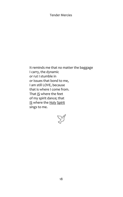It reminds me that no matter the baggage I carry, the dynamic or rut I stumble in or issues that bond to me, I am still LOVE, because that is where I come from. That IS where the feet of my spirit dance; that IS where the Holy Spirit sings to me.

 $\sum^{\infty}$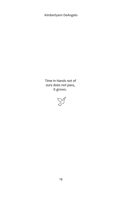Time in Hands not of ours does not pass, it grows.

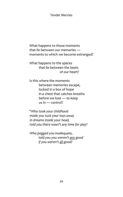What happens to those moments that lie between our memories ― moments to which we become estranged?

 What happens to the spaces that lie between the beats of our heart?

 Is this where the moments between memories escape, locked in a box of hope in a chest that catches breaths before we lose ― to keep us in ― control?

*"Who took your childhood made you tuck your toys away in dreams inside your head, told you there wasn't any time for play?* 

 *Who pegged you inadequate, told you you weren't any good if you weren't all good?*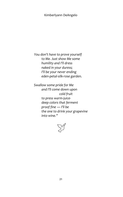*You don't have to prove yourself to Me. Just show Me some humility and I'll dress naked in your duress; I'll be your never ending eden-petal-silk-rose garden.* 

 *Swallow some pride for Me and I'll come down upon cold fruit to press warm-juice deep colors that ferment proof fine ― I'll be the one to drink your grapevine into wine."* 

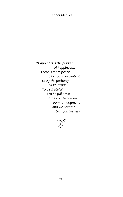*"Happiness is the pursuit of happiness... There is more peace to be found in content (It is) the pathway to gratitude To be grateful is to be full-great and here there is no room for judgment and we breathe instead forgiveness..."*

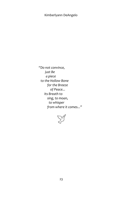*"Do not convince, just Be a piece to the Hollow Bone for the Breeze of Peace... Its Breath to sing, to moan, to whisper from where it comes..."* 

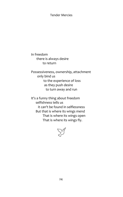In freedom there is always desire to return

 Possessiveness, ownership, attachment only bind us to the experience of loss as they push desire to turn away and run

 It's a funny thing about freedom selfishness tells us it can't be found in selflessness But that is where its wings mend That is where its wings open That is where its wings fly.

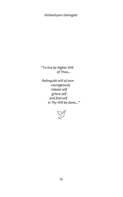*"To live by Higher Will of Thou...*

 *Relinquish will of own courageously release self grieve self and find self in Thy Will be done..."* 

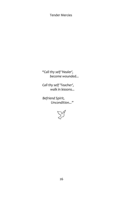*"Call thy self 'Healer', become wounded...*

 *Call thy self 'Teacher', walk in lessons...*

 *Befriend Spirit, Uncondition..."* 

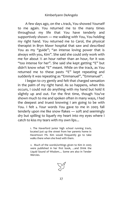A few days ago, on the **1.**track, You showed Yourself to me again. You returned me to the many times throughout my life that You have tenderly and supportively shown ― me walking with You, You holding my right hand. You returned me to Carol, the physical therapist in Bryn Mawr hospital that saw and described You as my "guide"; "an intense loving power that is always with you, Kim". She said she could only work with me for about  $\frac{1}{2}$  an hour rather than an hour, for it was "too intense for her". She said she kept getting "E" but didn't know what "E" meant. While on the track, as You returned me to these pasts "E" kept repeating and suddenly it was repeating as "Emmanuel", "Emmanuel".

I began to cry gently and felt that charged sensation in the palm of my right hand. As so happens, when this occurs, I could not do anything with my hand but hold it slightly up and out. For the first time, though You've shown much to me and spoken often in many ways, I had the deepest and truest knowing I am going to be with You. I felt **2.** Your words You gave to me in 2005 fall tenderly upon me like snow flakes ― soft and seemingly dry but spilling to liquefy my heart into my eyes where I catch to kiss my tears with my own lips...

> 1. The Haverford junior high school running track, located just up the street from her parents home in Havertown PA. Kim would frequently go to take walks there when she lived with them.

> 2. Much of the words/writings given to Kim in 2005 were published in her first book, ...and Drink the Liquid Sound of Wisdom.... Some are also in Tender Mercies.

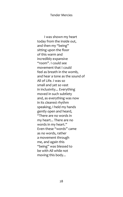I was shown my heart today from the inside out, and then my "being" sitting upon the floor of this warm and incredibly expansive "room". I could see movement that I could feel as breath in the womb, and hear a tone as the sound of All of Life. I was so small and yet so vast in inclusivity... Everything moved in such subtlety and, as everything was now in its clearest rhythm speaking, I held my hands gently open and heard, "There are no words in my heart... There are no words in my heart." Even these "words" came as no words, rather a movement through me, and again this "being" was blessed to be with All while not moving this body...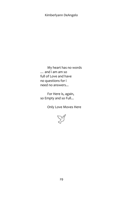My heart has no words … and i am am so full of Love and have no questions for i need no answers...

 For Here is, again, so Empty and so Full...

Only Love Moves Here

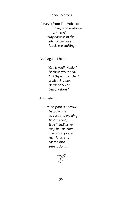I hear, (from The Voice of Love, who is always with me) *"My name is in the silence because labels are limiting."*

And, again, I hear,

 *"Call thyself 'Healer', become wounded. Call thyself 'Teacher', walk in lessons. Befriend Spirit, Uncondition."*

And, again,

 *"The path is narrow because it is so vast and walking true in Love, true in indivisive may feel narrow in a world peered restricted and casted into seperations..."*

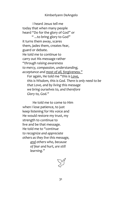I heard Jesus tell me today that when many people heard "Do for the glory of God" or " ...to bring glory to God" it turns them away, scares them, jades them, creates fear, guard or debate. He told me to continue to carry out His message rather *"through raising awareness to mercy, compassion, understanding, acceptance and most of all, forgiveness."* For again, He told me *"this is Love, this is Wisdom, this is God. There is only need to be that Love, and by living this message we bring ourselves to, and therefore Glory to, God."* 

 He told me to come to Him when I lose patience, to just keep listening for His voice and He would restore my trust, my strength to continue to live and be that message. He told me to "*continue to recognize and appreciate others as they live this message, and others who, because of fear and hurt, are still learning."*

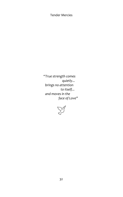*"True strength comes quietly... brings no attention to itself... and moves in the face of Love"*

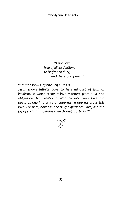*"Pure Love... free of all institutions to be free of duty, and therefore, pure..."*

*"Creator shows Infinite Self in Jesus...*

*Jesus shows Infinite Love to heal mindset of law, of legalism, in which stems a love manifest from guilt and obligation that creates an altar to submissive love and postures one in a state of suppressive oppression. Is this love? For here, how can one truly experience Love, and the joy of such that sustains even through suffering?"*

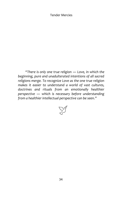*"There is only one true religion ― Love, in which the beginning, pure and unadulterated intentions of all sacred religions merge. To recognize Love as the one true religion makes it easier to understand a world of vast cultures, doctrines and rituals from an emotionally healthier perspective ― which is necessary before understanding from a healthier intellectual perspective can be seen."*

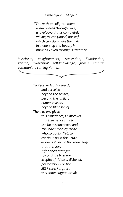"The path to enlightenment is discovered through Love, a love/Love that is completely willing to lose (loose) oneself which can illuminate the myth in ownership and beauty in humanity even through sufferance.

Mysticism, enlightenment, realization, illumination, kensho, awakening, self-knowledge, gnosis, ecstatic communion, coming Home...



beyond the limits of

- human reason.
- beyond blind belief
- Then, as one given

this experience, to discover this experience shared can be misconstrued and misunderstood by those who so doubt. Yet. to continue on in this Truth as one's guide, in the knowledge that this Love is for one's strength to continue to share in spite of ridicule, disbelief, persecution. For the SEER (seer) is gifted this knowledge to break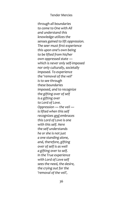*through all boundaries to come to One with All and understand this knowledge utilizes the senses gained to lift oppression. The seer must first experience this upon one's own being to be lifted from his/her own oppressed state ― which is never only self-imposed nor only culturally, societally imposed. To experience the 'removal of the veil' is to see through these boundaries imposed, and to recognize the gifting over of self is a gifting over to Lord of Love. Oppression ― the veil ― is lifted when this self recognizes and embraces this Lord of Love is one with this self. Here the self understands he or she is not just a one standing alone, and, therefore, gifting over of self is as well a gifting over to self. In the True experience with Lord of Love self sees the need, the desire, the crying out for the 'removal of the veil',*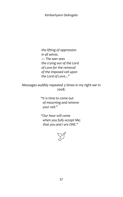*the lifting of oppression in all selves. ― The seer sees the crying out of the Lord of Love for the removal of the imposed veil upon the Lord of Love..."* 

Messages audibly repeated 3 times in my right ear in 2008.

> *"It is time to come out of mourning and remove your veil."*

 *"Our hour will come when you fully accept Me; that you and I are ONE."* 

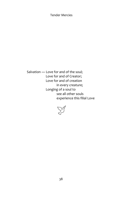Salvation — Love for and of the soul; Love for and of Creator; Love for and of creation in every creature; Longing of a soul to see all other souls experience this filial Love

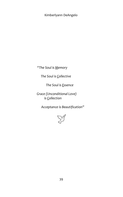*"The Soul is Memory*

 *The Soul is Collective*

 *The Soul is Essence*

 *Grace (Unconditional Love) is Collection*

 *Acceptance is Beautification"* 

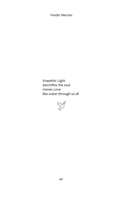Empathic Light electrifies the soul moves Love like water through us all

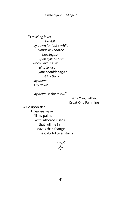*"Traveling lover be still lay down for just a while clouds will soothe burning sun upon eyes so sore when Love's saliva rains to kiss your shoulder again just lay there Lay down Lay down* 

 *Lay down in the rain..."* 

Thank You, Father, Great One Feminine

 Mud upon skin I cleanse myself fill my palms with lathered kisses that roll me in leaves that change me colorful over stains...

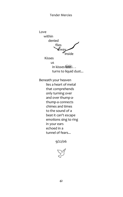Love within denied flies  $\frac{f_{\text{H}}}{2}$ ,<br>inside

**Kisses** us in kisses lost . . . turns to liquid dust...

Beneath your heaven lies a heart of metal that comprehends only turning over and over thump-athump-a connects chimes and times to the sound of a beat it can't escape emotions sing to ring in your ears echoed in a tunnel of fears...

 $9/22/06$ 

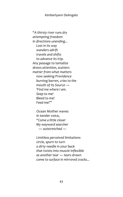*"A thirsty river runs dry attempting freedom in directions unending... Lost in its way wanders adrift travels and shifts to advance its trip. Any passage to tantalize draws attention, scatters matter from what matters now seeking Providence burning barren, cries to the mouth of its Source ― 'Find me where I am. Seep to me! Bleed to me! Feed me!'"*

 Ocean Mother waves in tender voice, *"Come a little closer My wayward searcher ― outstretched ―* 

 *Limitless perceived limitations circle, spurn to turn a dirty needle in your back that twists into muscle inflexible as another tear ― tears drawn come to surface in mirrored cracks...*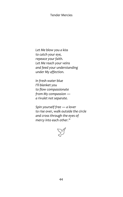*Let Me blow you a kiss to catch your eye, repeace your faith. Let Me reach your veins and feed your understanding under My affection.*

 *In fresh water blue I'll blanket you to flow compassionate from My compassion ― a rivulet not separate.*

 *Spin yourself free ― a lover to rise over, walk outside the circle and cross through the eyes of mercy into each other."* 

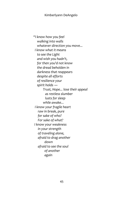*"I know how you feel walking into walls whatever direction you move... I know what it means to see the Light and wish you hadn't, for then you'd not know the dread beholden in darkness that reappears despite all efforts of resilience your spirit holds ― Trust, Hope... lose their appeal as restless slumber lusts for sleep while awake... I know your fragile heart raw in break, pure for sake of who? For sake of what? I know your weakness in your strength of traveling alone, afraid to drag another down afraid to see the soul of another again*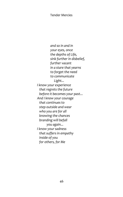*and so in and in your eyes, once the depths of Life, sink further in disbelief, further vacant in a stare that yearns to forget the need to communicate Light... I know your experience that regrets the future before it becomes your past... And I know your courage that continues to step outside and wear who you are for all knowing the chances branding will befall you again... I know your sadness that suffers in empathy inside of you for others, for Me*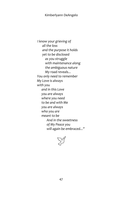*I know your grieving of all the loss and the purpose it holds yet to be disclosed as you struggle with maintenance along the ambiguous nature My road reveals... You only need to remember My Love is always with you and in this Love you are always where you need to be and with Me you are always who you are meant to be And in the sweetness of My Peace you will again be embraced..."*

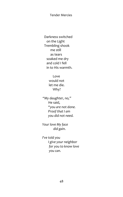Darkness switched on the Light Trembling shook me still as tears soaked me dry and cold I fell in to His warmth.

> Love would not let me die. Why?

*"My daughter, no,"* He said,  *"you are not done. Proof that I am you did not need.*

 *Your love My face did gain.*

 *I've told you I give your neighbor for you to know love you can.*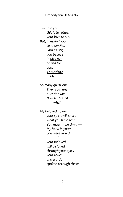*I've told you this is to return your love to Me. But, in asking you to know Me, I am asking you believe in My Love of and for you. This is faith in Me.*

 *So many questions. They, so many question Me. Now let Me ask, why?*

 *My beloved flower your spirit will share what you have seen. You mustn't be timid ― My hand in yours you were raised. I,*

 *your Beloved, will be loved through your eyes, your touch and words spoken through these.*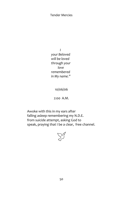*I your Beloved will be loved through your love remembered in My name."*

10/06/06

2:00 A.M.

 Awoke with this in my ears after falling asleep remembering my N.D.E. from suicide attempt, asking God to speak, praying that I be a clear, free channel.

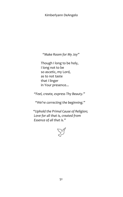*"Make Room for My Joy"*

 Though I long to be holy, I long not to be so ascetic, my Lord, as to not taste that I linger in Your presence...

*"Feel, create, express Thy Beauty."*

*"We're correcting the beginning."*

 *"Uphold the Primal Cause of Religion; Love for all that is, created from Essence of all that is."*

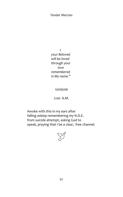*I your Beloved will be loved through your love remembered in My name."*

10/06/06

2:00 A.M.

 Awoke with this in my ears after falling asleep remembering my N.D.E. from suicide attempt, asking God to speak, praying that I be a clear, free channel.

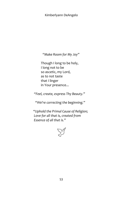*"Make Room for My Joy"*

 Though I long to be holy, I long not to be so ascetic, my Lord, as to not taste that I linger in Your presence...

*"Feel, create, express Thy Beauty."*

*"We're correcting the beginning."*

 *"Uphold the Primal Cause of Religion; Love for all that is, created from Essence of all that is."*

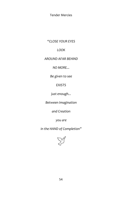*"CLOSE YOUR EYES*

# *LOOK*

# *AROUND AFAR BEHIND*

*NO MORE...*

*Be given to see*

*EXISTS*

*just enough...*

*Between Imagination*

*and Creation*

*you are*

*in the HAND of Completion"*

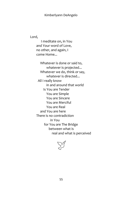Lord,

 I meditate on, in You and Your word of Love, no other, and again, I come Home...

 Whatever is done or said to, whatever is projected... Whatever we do, think or say, whatever is directed... All I really know in and around that world Is You are Tender You are Simple You are Sincere You are Merciful You are Real and You are here There is no contradiction in You for You are The Bridge between what is real and what is perceived

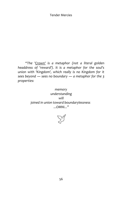*"The 'Crown' is a metaphor (not a literal golden headdress of 'reward'). It is a metaphor for the soul's union with 'Kingdom', which really is no Kingdom for it sees beyond ― sees no boundary ― a metaphor for the 3 properties:*

> *memory understanding will joined in union toward boundarylessness ...OMNI..."*

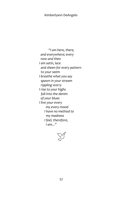*"I am here, there, and everywhere; every now and then I am satin, lace and sheen for every pattern to your seem I breathe what you say spawn in your stream rippling worry I rise to your highs fall into the denim of your blues I live your every my every mood I have no method to my madness I feel, therefore, I am..."* 

 $\Sigma^{\gamma}$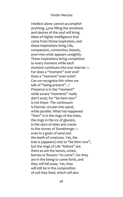Intellect alone cannot accomplish anything. Love filling the emotions and desires of the soul will bring ideas of Higher intelligence that come from Divine inspiration, and these inspirations bring Life, compassion, connection, beauty, even into what appears unsightly. These inspirations bring completion to every moment while each moment continues into ever eternal — For does a "moment" ever end? Does a "moment" even exist? Can we recognize this when we talk of "being present"...? Presence is in the "moment" while aware "moments" really don't exist, for "be here now" is not linear. The continuum is Eternal, circular into spiral, while parallel. What has happened "then" is in the rings of the trees, the rings in the ice of glaciers, in the stars of skies and cracks to the stones of Stonehenge ― even in a grain of sand and the teeth of creatures. Yet, the tree is (appears) only to "be here now", but the rings of Life "before" are there as are the leaves, cones, berries or flowers "to come", for they are in the being to come forth, and they will fall away. Yet, they will still be in the composition of soil they feed, which will also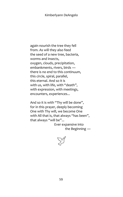again nourish the tree they fell from. As will they also feed the seed of a new tree, bacteria, worms and insects, oxygen, clouds, precipitation, embankments, rivers, birds ― there is no end to this continuum, this circle, spiral, parallel, this eternal. And so it is with us, with life, with "death", with expression, with meetings, encounters, experiences...

 And so it is with "Thy will be done", for in this prayer, deeply becoming One with Thy will, we become One with All that is, that always "has been", that always "will be"...

> Ever expansive into the Beginning ―

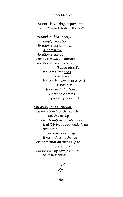Science is seeking, in pursuit to find a "Grand Unified Theory"

 *"Grand Unified Theory, simply=vibration vibration is our common denominator vibration is energy energy is always in motion vibration exists physically, 'Supernaturally' it exists in the seen and the unseen it exists in movement as well as 'stillness' for even during 'sleep' vibration vibrates (waves, frequency)*

 *Vibration Brings Renewal renewal brings birth, rebirth, death, healing renewal brings sustainability in that it brings about underlying repetition ― in constant change it really doesn't change ― experimentation speeds up to break apart, but everything always returns to its beginning"*

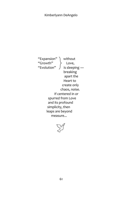"Expansion" \ without "Growth $"\rightarrow$  Love, "Evolution"  $\int$  is sleeping breaking apart the Heart to create only chaos, noise. If centered in or spurred from Love and its profound simplicity, then leaps are beyond measure...

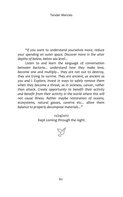*"If you want to understand yourselves more, reduce your spending on outer space. Discover more in the utter depths of below, below sea level...*

*Listen to and learn the language of conversation between bacteria... understand how they make love, become one and multiply... they are not out to destroy, they are trying to survive. They are ancient, as ancient as you and I. Explore, invest in ways to safely remove them when they become a threat, as in sickness, cancer, rather than attack. Create opportunity to benefit their activity and benefit from their activity in the world where this will not cause illness. Rather maybe restoration of oceans, ecosystems, natural gasses, caverns etc... allow them balance to properly decompose materials..."*

> 12/29/2012 Kept coming through the night.

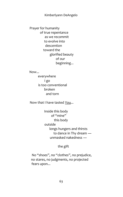Prayer for humanity of true repentance as we recommit to evolve into descention toward the glorified beauty of our beginning...

 Now... everywhere I go is too conventional broken and torn

Now that I have tasted You...

 Inside this body of "mine" this body outside longs hungers and thirsts to dance in Thy dream ― unmasked nakedness ―

## the gift

 No "shoes", no "clothes", no prejudice, no stares, no judgments, no projected fears upon...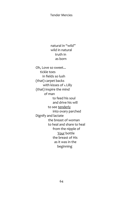natural in "wild" wild in natural truth in as born

 Oh, Love so sweet... tickle toes in fields so lush (that) carpet backs with kisses of **1.** Lilly (that) inspire the mind of man to feed his soul and drive his will to see tenderly into ovary parched Dignify and lactate the breast of woman to heal and share to heal from the nipple of Your bottle the breast of His as it was in the beginning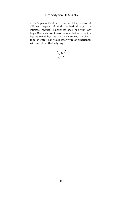1. Kim's personification of the feminine, whimsical, all-loving aspect of God, realized through the intimate, mystical experiences she's had with lady bugs. One such event involved one that survived in a bedroom with her through the winter with no plants, food or water. Kim would later write of experiences with and about that lady bug.

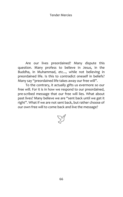Are our lives preordained? Many dispute this question. Many profess to believe in Jesus, in the Buddha, in Muhammad, etc..., while not believing in preordained life. Is this to contradict oneself in beliefs? Many say "preordained life takes away our free will".

To the contrary, it actually gifts us evermore so our free will. For it is in how we respond to our preordained, pre-scribed message that our free will lies. What about past lives? Many believe we are "sent back until we get it right". What if we are not sent back, but rather choose of our own free will to come back and live the message?

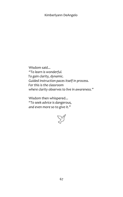Wisdom said... *"To learn is wonderful. To gain clarity, dynamic. Guided instruction paces itself in process. For this is the classroom where clarity observes to live in awareness."*

Wisdom then whispered...  *"To seek advice is dangerous, and even more so to give it."*

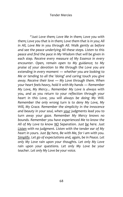*"Just Love them; Love Me in them; Love you with them; Love you that is in them; Love them that is in you; All in All, Love Me in you through All. Walk gently as before and see the peace underlying All these steps. Listen to this peace and find the pace in My Wisdom that will be given in each step. Receive every measure of My Essence in every encounter. Open, remain open to My guidance; to My praise of your devotion to Me through the Love you are extending in every moment ― whether you are looking to Me or tending to all the 'doing' and caring touch you give away. Receive their love ― My Love through them. When your heart feels heavy, hold it with My hands ― Remember My Love, My Mercy... Remember My Love is always with you, and as you return to your reflection through your heart in this Love, you will always be doing My Will. Remember the only wrong turn is to deny My Love, My Will, My Grace. Remember the simplicity in the innocence and beauty in your soul, when your judgments lead you to turn away your gaze. Remember My Mercy knows no bounds. Remember you have experienced Me to know the All of My Love to know NO Separation. Just be here. Just Listen with no judgment. Listen with the tender ear of My heart in yours. Just Be here, Be with Me, for I am with you. Simplify. Let go of expectations and, again, be in Peace. Let only My Love rain upon your thoughts. Let only My Love rain upon your questions. Let only My Love be your teacher. Let only My Love be your voice.*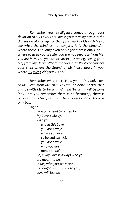*Remember your intelligence comes through your devotion to My Love. This Love is your intelligence. It is the dimension of intelligence that your heart holds with Me to see what the mind cannot conjure. It is the dimension where there is no longer you or Me for there is only One ― where even as you see Me, you are not separate from Me, you are in Me, so you are breathing, listening, seeing from Me, from My Heart. Where the Sound of My Voice touches your skin; where the Sound of My Voice flows in you; where My eyes field your vision.* 

*Remember when there is no you or Me, only Love of Me, Love from Me, then Thy will be done. Forget thee and be with Me to be with All, and 'be with' will become 'be'. Here you remember there is no becoming, there is only return, return, return... there is no become, there is only be...* 

*Again...*

 *'You only need to remember My Love is always with you and in this Love you are always where you need to be and with Me you are always who you are meant to be' So, in My Love is always who you are meant to be. In Me, who you are is not a thought nor matters to you, Love will just be*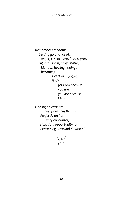*Remember Freedom: Letting go of of of of.... anger, resentment, loss, regret, righteousness, envy, status, identity, healing, 'doing', becoming ― EVEN letting go of 'I AM' for I Am because you are, you are because I Am* 

 *Finding no criticism ...Every Being as Beauty Perfectly on Path ...Every encounter, situation, opportunity for expressing Love and Kindness"*

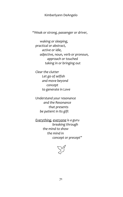*"Weak or strong, passenger or driver,*

 *waking or sleeping, practical or abstract, active or idle, adjective, noun, verb or pronoun, approach or touched taking in or bringing out* 

 *Clear the clutter Let go of selfish and move beyond concept to generate in Love*

 *Understand your resonance and the Resonance that presents be patient in Its gift*

 *Everything, everyone is a guru breaking through the mind to show the mind in concept or precept"*

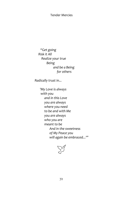*"Get going Risk it All Realize your true Being and be a Being for others*

 *Radically trust in...*

 *'My Love is always with you and in this Love you are always where you need to be and with Me you are always who you are meant to be And in the sweetness of My Peace you will again be embraced...'"*

 $\sum^{\infty}$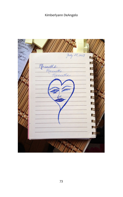| July 28, 2013          |  |
|------------------------|--|
| Maranatha<br>Maranatha |  |
|                        |  |
|                        |  |
|                        |  |
|                        |  |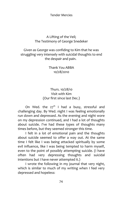# A Lifting of the Veil; The Testimony of George Snedeker

# Given as George was confiding to Kim that he was struggling very intensely with suicidal thoughts to end the despair and pain.

Thank You ABBA 10/28/2010

# Thurs. 10/28/10 Visit with Kim (Our first since last Dec.)

On Wed. the  $27<sup>th</sup>$  I had a busy, stressful and challenging day. By Wed. night I was feeling emotionally run down and depressed. As the evening and night wore on my depression continued, and I had a lot of thoughts about suicide. I've had these types of thoughts many times before, but they seemed stronger this time.

I felt in a lot of emotional pain and the thoughts about suicide seemed to offer a way out. At the same time I felt like I was being attacked spiritually by some evil influence, like I was being tempted to harm myself, even to the point of possibly attempting suicide. (I have often had very depressing thoughts and suicidal intentions but I have never attempted it.)

I wrote the following in my journal that very night, which is similar to much of my writing when I feel very depressed and hopeless: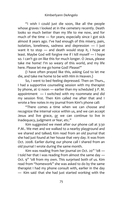"I wish I could just die soon, like all the people whose graves I looked at in the cemetery recently. Death looks so much better than my life to me now, and for much of the time ― for years; especially since I got sick almost 8 years ago. I've had enough of this misery, pain, isolation, loneliness, sadness and depression ― I just want it to stop ― and death would stop it, I hope at least. Maybe God will forgive me if I kill myself ― I hope so. I can't go on like this for much longer. O Jesus, please take me home! I'm so weary of this world, and my life here. Please let me go home God! Please!"

(I have often prayed like this, asking God to let me die, and take me home to be with Him in Heaven.)

So, I went to bed feeling depressed. Then on Thurs., I had a supportive counseling session with my therapist by phone, at 12 noon ― earlier than my scheduled 3 P. M. appointment ― I switched with my roommate and did my session first. Then Kim called me after that and I wrote a few notes in my journal from Kim's phone call:

"There comes a time when we can choose and recognize the internal voice within us, and we can accept Jesus and live grace, or we can continue to live in inadequacy, judgment or fear, etc."

Kim suggested we meet after our phone call at 3:30 P.M.. We met and we walked to a nearby playground and we shared and talked; Kim read from an old journal that she had just found at her house that very day. It was from Oct. 2008. Earlier during our phone call I shared from an old journal I wrote during the same month.

Kim was reading from her journal on Oct. 20<sup>th</sup> '08  $-$ I told her that I was reading from almost the same day ― Oct. 9<sup>th</sup> '08 from my own. This surprised both of us. Kim read from "homework" she was asked to do by the same therapist I had my phone consult with, earlier in the day ― Kim said that she had just started working with the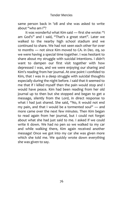same person back in '08 and she was asked to write about "who am I"?

It was wonderful what Kim said ― first she wrote: "I am God's" and I said, "That's a great start". Later we walked to the nearby high school stadium and we continued to share. We had not seen each other for over 10 months ― not since Kim moved to CA. in Dec. 09, so we were having a special time together. I was hesitant to share about my struggle with suicidal intentions. I didn't want to dampen our first visit together with how depressed I was, and we were enjoying our sharing and Kim's reading from her journal. At one point I confided to Kim, that I was in a deep struggle with suicidal thoughts especially during the night before. I said that it seemed to me that if I killed myself then the pain would stop and I would have peace. Kim had been reading from her old journal up to then but she stopped and began to get a message, silently from the Lord, in direct response to what I had just shared. She said, "No, it would not end my pain, and that I would be a tormented soul" ― and more came over the next few minutes. Then Kim began to read again from her journal, but I could not forget about what she had just said to me. I asked if we could write it down. We had no pen so we walked to my car and while walking there, Kim again received another message! Once we got into my car she was given more which she told me. We quickly wrote down everything she was given to say.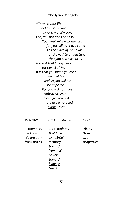*"To take your life believing you are unworthy of My Love, this, will not end the pain. Your soul will be tormented for you will not have come to the place of 'removal of the veil' to understand that you and I are ONE. It is not that I judge you for denial of Me It is that you judge yourself for denial of Me and so you will not be at peace. For you will not have embraced Jesus' message, you will not have embraced living Grace.* 

| <b>MEMORY</b> | <b>UNDERSTANDING</b> | WILL       |
|---------------|----------------------|------------|
| Remembers     | Contemplates         | Aligns     |
| the Love      | that I ove           | those      |
| We are born   | to maintain          | two        |
| from and as   | memory               | properties |
|               | toward               |            |
|               | 'removal             |            |
|               | of veil'             |            |
|               | toward               |            |
|               | <u>living in</u>     |            |
|               | Grace                |            |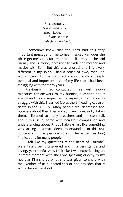*So therefore, Grace need only mean Love, living in Love, which is living in faith."* 

I somehow knew that the Lord had this very important message for me to hear. I asked Kim does she often get messages for other people like this ― she said usually she is alone, occasionally with her mother and maybe with Sam. But this was unusual and I felt very different in my spirit. I had a sense of awe, that God would speak to me so directly about such a deeply personal and important area of my life that I had been struggling with for many years!

Previously I had contacted three well known ministries for answers to my burning questions about suicide and it's consequences for myself, and others who struggle with this. I learned it was the  $8<sup>th</sup>$  leading cause of death in the U. S. A.! Many people feel depressed and hopeless about their lives and so many have, sadly, taken them. I listened to many preachers and ministers talk about this issue, some with heartfelt compassion and understanding about it, but I always felt like something was lacking in a true, deep understanding of this real concern of mine personally, and the wider reaching implications for many people.

I felt like my questions at the heart of "suicide" were finally being answered and in a very gentle and loving, yet truthful way. I felt like I was experiencing an intimate moment with the Lord speaking directly to my heart as Kim shared what she was given to share with me. Neither of us expected this or had any idea that it would happen as it did.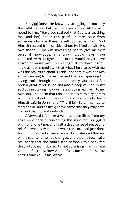But God knew! He knew my struggling ― not only the night before, but for many years now. Afterward I noted to Kim, "Have you realized that God was teaching me (and her) about this painful human issue from someone who was there herself? Someone whom God Himself rescued from suicide, whom He lifted up with His own hands ― He was now using her to give me very personal knowledge, in a way I would never have expected with insights I'm sure I would never have arrived at on my own. Interestingly, deep down inside I knew almost immediately that what Kim shared with me was the real truth about suicide; and that it was not Kim alone speaking to me ― I sensed the Lord speaking His loving truth through Kim deep into my soul, and I felt both a great relief inside and also a deep caution to my soul against taking my own life and doing real harm to my own soul. I told Kim that I no longer desire to play games with myself about this very serious issue of suicide. Jesus Himself said in John 10:10 "The thief (Satan) comes to steal and kill and destroy; I have come that they may have life, and that more abundantly".

Afterward I felt like a veil had been lifted from my spirit ― especially concerning this issue I've struggled with for a long time, and I felt a deep sense of peace and relief as well as wonder at what the Lord had just done for us. Kim looked at me afterward and she said that my whole countenance had changed, and that my face had a real peace that she hadn't seen before. I told her I felt deeply touched inside so it's not surprising that my face would reflect this. How wonderful is our God! Praise the Lord! Thank You Jesus, Abba!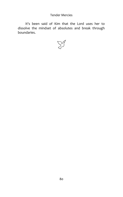It's been said of Kim that the Lord uses her to dissolve the mindset of absolutes and break through boundaries.